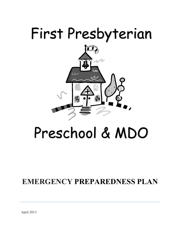# First Presbyterian



# Preschool & MDO

## **EMERGENCY PREPAREDNESS PLAN**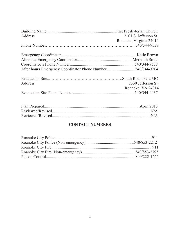| Address | 2101 S. Jefferson St.   |
|---------|-------------------------|
|         | Roanoke, Virginia 24014 |
|         |                         |
|         |                         |
|         |                         |
|         |                         |
|         |                         |
| Address | 2330 Jefferson St.      |
|         | Roanoke, VA 24014       |
|         |                         |

### **CONTACT NUMBERS**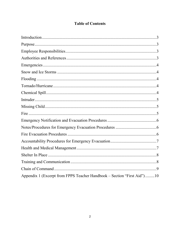### **Table of Contents**

| Appendix 1 (Excerpt from FPPS Teacher Handbook – Section "First Aid")10 |  |
|-------------------------------------------------------------------------|--|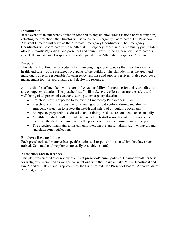#### **Introduction**

In the event of an emergency situation (defined as any situation which is not a normal situation) affecting the preschool, the Director will serve as the Emergency Coordinator. The Preschool Assistant Director will serve as the Alternate Emergency Coordinator. The Emergency Coordinator will coordinate with the Alternate Emergency Coordinator, community public safety officials, families/guardians and preschool and church staff. If the Emergency Coordinator is absent, the management responsibility is delegated to the Alternate Emergency Coordinator.

#### **Purpose**

This plan will outline the procedures for managing major emergencies that may threaten the health and safety of the preschool occupants of the building. The plan identifies the areas and individuals directly responsible for emergency response and support services. It also provides a management tool for coordinating and deploying resources.

All preschool staff members will share in the responsibility of preparing for and responding to any emergency situation. The preschool staff will make every effort to ensure the safety and well-being of all preschool occupants during an emergency situation.

- Preschool staff is expected to follow the Emergency Preparedness Plan
- Preschool staff is responsible for knowing what to do before, during and after an emergency situation to protect the health and safety of all building occupants
- Emergency preparedness education and training sessions are conducted once annually.
- Monthly fire drills will be conducted and church staff is notified of these events. A record of the drills is maintained in the preschool office for a minimum of one year.
- The preschool maintains a thirteen unit intercom system for administrative, playground and classroom notifications.

#### **Employee Responsibilities**

Each preschool staff member has specific duties and responsibilities in which they have been trained. Cell and land line phones are easily available to staff.

#### **Authorities and References**

This plan was created after review of current preschool/church policies, Commonwealth criteria for Religious Exemption as well as consultations with the Roanoke City Police Department and Fire Marshalls Office and is approved by the First Presbyterian Preschool Board. Approval date: April 24, 2013.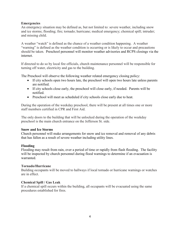#### **Emergencies**

An emergency situation may be defined as, but not limited to: severe weather, including snow and ice storms; flooding; fire; tornado; hurricane; medical emergency; chemical spill; intruder; and missing child.

A weather "watch" is defined as the chance of a weather condition happening. A weather "warning" is defined as the weather condition is occurring or is likely to occur and precautions should be taken. Preschool personnel will monitor weather advisories and RCPS closings via the internet.

If directed to do so by local fire officials, church maintenance personnel will be responsible for turning off water, electricity and gas to the building.

The Preschool will observe the following weather related emergency closing policy:

- If city schools open two hours late, the preschool will open two hours late unless parents are notified.
- If city schools close early, the preschool will close early, if needed. Parents will be notified.
- Preschool will meet as scheduled if city schools close early due to heat.

During the operation of the weekday preschool, there will be present at all times one or more staff members certified in CPR and First Aid.

The only doors to the building that will be unlocked during the operation of the weekday preschool is the main church entrance on the Jefferson St. side.

#### **Snow and Ice Storms**

Church personnel will make arrangements for snow and ice removal and removal of any debris that has fallen as a result of severe weather including utility lines.

#### **Flooding**

Flooding may result from rain, over a period of time or rapidly from flash flooding. The facility will be inspected by church personnel during flood warnings to determine if an evacuation is warranted.

#### **Tornado/Hurricane**

Building occupants will be moved to hallways if local tornado or hurricane warnings or watches are in effect.

#### **Chemical Spill / Gas Leak**

If a chemical spill occurs within the building, all occupants will be evacuated using the same procedures established for fires.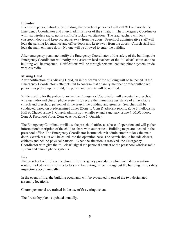#### **Intruder**

If a hostile person intrudes the building, the preschool personnel will call 911 and notify the Emergency Coordinator and church administrator of the situation. The Emergency Coordinator will, via wireless radio, notify staff of a lockdown situation. The lead teachers will lock classroom doors and keep occupants away from the doors. Preschool administrative staff will lock the parking lot entrance and office doors and keep away from the doors. Church staff will lock the main entrance door. No one will be allowed to enter the building

After emergency personnel notify the Emergency Coordinator of the safety of the building, the Emergency Coordinator will notify the classroom lead teachers of the "all clear" status and the building will be reopened. Notifications will be through personal contact, phone system or via wireless radio.

#### **Missing Child**

After notification of a Missing Child, an initial search of the building will be launched. If the Emergency Coordinator's attempts fail to confirm that a family member or other authorized person has picked up the child, the police and parents will be notified.

While waiting for the police to arrive, the Emergency Coordinator will execute the preschool wireless radio and church phone systems to secure the immediate assistance of all available church and preschool personnel in the search the building and grounds. Searches will be conducted based on predetermined zones (Zone 1: Gym & adjacent rooms, Zone 2: Fellowship Hall & Chapel, Zone 3: Church administrative hallway and Sanctuary, Zone 4: MDO Floor, Zone 5: Preschool Floor, Zone 6: Attic, Zone 7: Outside).

The Emergency Coordinator will use the preschool office as a base of operation and will gather information/description of the child to share with authorities. Building maps are located in the preschool office. The Emergency Coordinator instruct church administrator to lock the main door. Search results will be called into the operation base. The search should include closets, cabinets and behind physical barriers. When the situation is resolved, the Emergency Coordinator with give the "all clear" signal via personal contact or the preschool wireless radio system and church phone systems.

#### **Fire**

The preschool will follow the church fire emergency procedures which include evacuation routes, marked exits, smoke detectors and fire extinguishers throughout the building. Fire safety inspections occur annually.

In the event of fire, the building occupants will be evacuated to one of the two designated assembly locations.

Church personnel are trained in the use of fire extinguishers.

The fire safety plan is updated annually.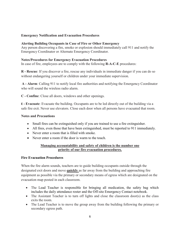#### **Emergency Notification and Evacuation Procedures**

#### **Alerting Building Occupants in Case of Fire or Other Emergency**

Any person discovering a fire, smoke or explosion should immediately call 911 and notify the Emergency Coordinator or Alternate Emergency Coordinator.

#### **Notes/Procedures for Emergency Evacuation Procedures**

In case of fire, employees are to comply with the following **R-A-C-E** procedures:

**R - Rescue**: If you discover a fire, rescue any individuals in immediate danger if you can do so without endangering yourself or children under your immediate supervision.

**A - Alarm**: Calling 911 to notify local fire authorities and notifying the Emergency Coordinator who will sound the wireless radio alarm.

**C - Confine**: Close all doors, windows and other openings.

**E - Evacuate**: Evacuate the building. Occupants are to be led directly out of the building via a safe fire exit. Never use elevators. Close each door when all persons have evacuated that room.

#### **Notes and Precautions**

- Small fires can be extinguished only if you are trained to use a fire extinguisher.
- All fires, even those that have been extinguished, must be reported to 911 immediately.
- Never enter a room that is filled with smoke.
- Never enter a room if the door is warm to the touch.

#### **Managing accountability and safety of children is the number one priority of our fire evacuation procedures.**

#### **Fire Evacuation Procedures**

When the fire alarm sounds, teachers are to guide building occupants outside through the designated exit doors and move **quickly** as far away from the building and approaching fire equipment as possible via the primary or secondary means of egress which are designated on the evacuation map posted in each classroom.

- The Lead Teacher is responsible for bringing all medication, the safety bag which includes the daily attendance roster and the Off-site Emergency Contact notebook.
- The Assistant Teacher is to turn off lights and close the classroom door(s) as the class exits the room.
- The Lead Teacher is to move the group away from the building following the primary or secondary egress path.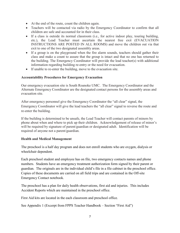- At the end of the route, count the children again.
- Teachers will be contacted via radio by the Emergency Coordinator to confirm that all children are safe and accounted for in their class.
- If a class is outside its normal classroom (i.e., for active indoor play, touring building, etc.), the Lead Teacher must ascertain the nearest free exit (EVACUATION INSTRUCTIONS ARE POSTED IN ALL ROOMS) and move the children out via that exit to one of the two designated assembly areas.
- If a group is on the playground when the fire alarm sounds, teachers should gather their class and make a count to assure that the group is intact and that no one has returned to the building. The Emergency Coordinator will provide the lead teacher(s) with additional information regarding building re-entry or the need for evacuation.
- If unable to re-enter the building, move to the evacuation site.

#### **Accountability Procedures for Emergency Evacuation**

Our emergency evacuation site is South Roanoke UMC. The Emergency Coordinator and the Alternate Emergency Coordinator are the designated contact persons for the assembly areas and evacuation site.

After emergency personnel give the Emergency Coordinator the "all clear" signal, the Emergency Coordinator will give the lead teachers the "all clear" signal to reverse the route and re-enter the building.

If the building is determined to be unsafe, the Lead Teacher will contact parents of minors by phone about when and where to pick up their children. Acknowledgement of release of minor's will be required by signature of parent/guardian or designated adult. Identification will be required of anyone not a parent/guardian.

#### **Health and Medical Management**

The preschool is a half day program and does not enroll students who are oxygen, dialysis or wheelchair dependent.

Each preschool student and employee has on file, two emergency contacts names and phone numbers. Students have an emergency treatment authorization form signed by their parent or guardian. The originals are in the individual child's file in a file cabinet in the preschool office. Copies of these documents are carried on all field trips and are contained in the Off-site Emergency Contact notebook.

The preschool has a plan for daily health observations, first aid and injuries. This includes Accident Reports which are maintained in the preschool office.

First Aid kits are located in the each classroom and preschool office.

See Appendix 1 (Excerpt from FPPS Teacher Handbook – Section "First Aid")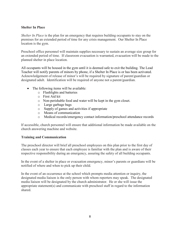#### **Shelter In Place**

*Shelter In Place* is the plan for an emergency that requires building occupants to stay on the premises for an extended period of time for any crisis management. Our Shelter In Place location is the gym.

Preschool office personnel will maintain supplies necessary to sustain an average size group for an extended period of time. If classroom evacuation is warranted, evacuation will be made to the planned shelter in place location.

All occupants will be housed in the gym until it is deemed safe to exit the building. The Lead Teacher will notify parents of minors by phone, if a Shelter In Place is or has been activated. Acknowledgement of release of minor's will be required by signature of parent/guardian or designated adult. Identification will be required of anyone not a parent/guardian.

- The following items will be available:
	- o Flashlights and batteries
	- o First Aid kit
	- o Non-perishable food and water will be kept in the gym closet.
	- o Large garbage bags
	- o Supply of games and activities if appropriate
	- o Means of communication
	- o Medical records/emergency contact information/preschool attendance records

If accessible, church personnel will ensure that additional information be made available on the church answering machine and website.

#### **Training and Communication**

The preschool director will brief all preschool employees on this plan prior to the first day of classes each year to ensure that each employee is familiar with the plan and is aware of their respective responsibility during an emergency, assuring the safety of all building occupants.

In the event of a shelter in place or evacuation emergency, minor's parents or guardians will be notified of where and when to pick up their child.

In the event of an occurrence at the school which prompts media attention or inquiry, the designated media liaison is the only person with whom reporters may speak. The designated media liaison will be designated by the church administrator. He or she will issue the appropriate statement(s) and communicate with preschool staff in regard to the information shared.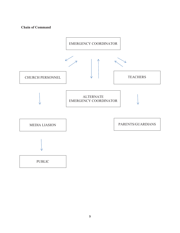#### **Chain of Command**

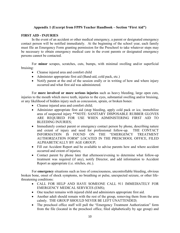#### **Appendix 1 (Excerpt from FPPS Teacher Handbook – Section "First Aid")**

#### **FIRST AID - INJURIES**

In the event of an accident or other medical emergency, a parent or designated emergency contact person will be notified immediately. At the beginning of the school year, each family must file an Emergency Form granting permission for the Preschool to take whatever steps may be necessary to obtain emergency medical care in the event parents or designated emergency persons cannot be contacted.

For **minor** scrapes, scratches, cuts, bumps, with minimal swelling and/or superficial bruising:

- Cleanse injured area and comfort child
- Administer appropriate first aid (Band-aid, cold pack, etc.)
- Notify parent at the end of the session orally or in writing of how and where injury occurred and what first aid was administered.

For **more involved or more serious injuries** such as heavy bleeding, large open cuts, injuries to the mouth which move teeth, injuries to the eyes, substantial swelling and/or bruising, or any likelihood of hidden injury such as concussion, sprain, or broken bones:

- Cleanse injured area and comfort child;
- Administer appropriate first aid (stop bleeding, apply cold pack or ice, immobilize area of suspected injury \*\*NOTE: SANITARY DISPOSABLE RUBBER GLOVES ARE REQUIRED FOR USE WHEN ADMINISTERING FIRST AID TO BLEEDING INJURIES;
- Immediately contact parent or emergency contact person by phone, describing nature and extent of injury and need for professional follow-up. THE CONTACT INFORMATION IS FOUND ON THE "EMERGENCY TREATMENT AUTHORIZATION FORM" LOCATED IN THE PRESCHOOL OFFICE, FILED ALPHABETICALLY BY AGE GROUP;
- Fill out Accident Report and be available to advise parents how and where accident occurred and extent of injuries;
- Contact parent by phone later that afternoon/evening to determine what follow-up treatment was required (if any), notify Director, and add information to Accident Report as appropriate (i.e. stitches, etc.).

For **emergency** situations such as loss of consciousness, uncontrollable bleeding, obvious broken bone, onset of shock symptoms, no breathing or pulse, unexpected seizure, or other lifethreatening conditions:

- CALL FOR HELP AND HAVE SOMEONE CALL 911 IMMEDIATELY FOR EMERGENCY MEDICAL SERVICES (EMS);
- One teacher remains with injured child and administers appropriate first aid.
- Another adult should remain with the rest of the group, removing them from the area calmly. THE GROUP SHOULD NEVER BE LEFT UNATTENDED;
- The preschool office staff will pull the "Emergency Treatment Authorization" form from the file (located in the preschool office, filed alphabetically by age group) and